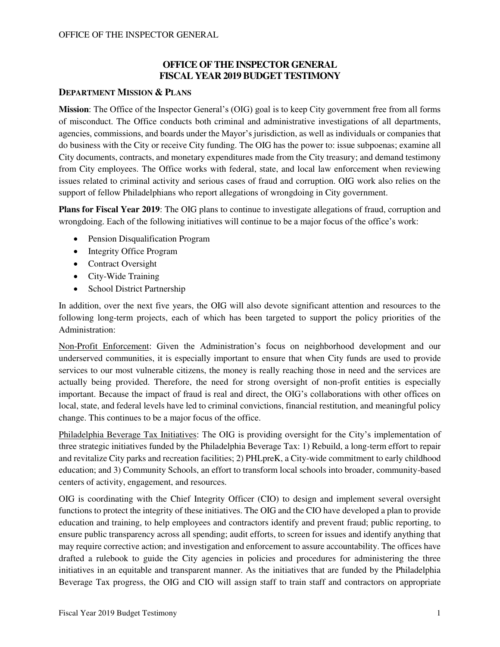## **OFFICE OF THE INSPECTOR GENERAL FISCAL YEAR 2019 BUDGET TESTIMONY**

## **DEPARTMENT MISSION & PLANS**

**Mission**: The Office of the Inspector General's (OIG) goal is to keep City government free from all forms of misconduct. The Office conducts both criminal and administrative investigations of all departments, agencies, commissions, and boards under the Mayor's jurisdiction, as well as individuals or companies that do business with the City or receive City funding. The OIG has the power to: issue subpoenas; examine all City documents, contracts, and monetary expenditures made from the City treasury; and demand testimony from City employees. The Office works with federal, state, and local law enforcement when reviewing issues related to criminal activity and serious cases of fraud and corruption. OIG work also relies on the support of fellow Philadelphians who report allegations of wrongdoing in City government.

**Plans for Fiscal Year 2019**: The OIG plans to continue to investigate allegations of fraud, corruption and wrongdoing. Each of the following initiatives will continue to be a major focus of the office's work:

- Pension Disqualification Program
- Integrity Office Program
- Contract Oversight
- City-Wide Training
- School District Partnership

In addition, over the next five years, the OIG will also devote significant attention and resources to the following long-term projects, each of which has been targeted to support the policy priorities of the Administration:

Non-Profit Enforcement: Given the Administration's focus on neighborhood development and our underserved communities, it is especially important to ensure that when City funds are used to provide services to our most vulnerable citizens, the money is really reaching those in need and the services are actually being provided. Therefore, the need for strong oversight of non-profit entities is especially important. Because the impact of fraud is real and direct, the OIG's collaborations with other offices on local, state, and federal levels have led to criminal convictions, financial restitution, and meaningful policy change. This continues to be a major focus of the office.

Philadelphia Beverage Tax Initiatives: The OIG is providing oversight for the City's implementation of three strategic initiatives funded by the Philadelphia Beverage Tax: 1) Rebuild, a long-term effort to repair and revitalize City parks and recreation facilities; 2) PHLpreK, a City-wide commitment to early childhood education; and 3) Community Schools, an effort to transform local schools into broader, community-based centers of activity, engagement, and resources.

OIG is coordinating with the Chief Integrity Officer (CIO) to design and implement several oversight functions to protect the integrity of these initiatives. The OIG and the CIO have developed a plan to provide education and training, to help employees and contractors identify and prevent fraud; public reporting, to ensure public transparency across all spending; audit efforts, to screen for issues and identify anything that may require corrective action; and investigation and enforcement to assure accountability. The offices have drafted a rulebook to guide the City agencies in policies and procedures for administering the three initiatives in an equitable and transparent manner. As the initiatives that are funded by the Philadelphia Beverage Tax progress, the OIG and CIO will assign staff to train staff and contractors on appropriate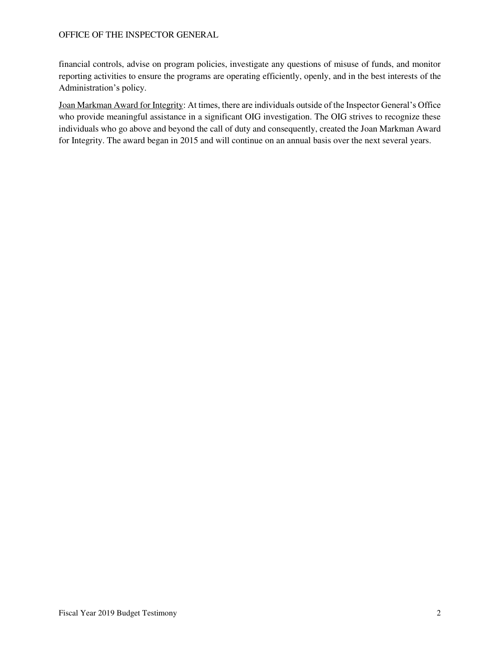financial controls, advise on program policies, investigate any questions of misuse of funds, and monitor reporting activities to ensure the programs are operating efficiently, openly, and in the best interests of the Administration's policy.

Joan Markman Award for Integrity: At times, there are individuals outside of the Inspector General's Office who provide meaningful assistance in a significant OIG investigation. The OIG strives to recognize these individuals who go above and beyond the call of duty and consequently, created the Joan Markman Award for Integrity. The award began in 2015 and will continue on an annual basis over the next several years.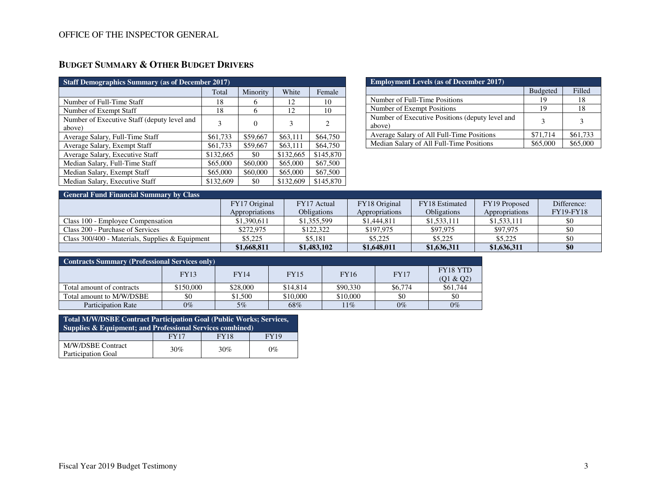# **BUDGET SUMMARY & OTHER BUDGET DRIVERS**

| <b>Staff Demographics Summary (as of December 2017)</b> |           |          |           |                |  |  |  |  |  |
|---------------------------------------------------------|-----------|----------|-----------|----------------|--|--|--|--|--|
|                                                         | Total     | Minority | White     | Female         |  |  |  |  |  |
| Number of Full-Time Staff                               | 18        | 6        | 12        | 10             |  |  |  |  |  |
| Number of Exempt Staff                                  | 18        | 6        | 12        | 10             |  |  |  |  |  |
| Number of Executive Staff (deputy level and<br>above)   | 3         | $\Omega$ | 3         | $\overline{c}$ |  |  |  |  |  |
| Average Salary, Full-Time Staff                         | \$61,733  | \$59,667 | \$63,111  | \$64,750       |  |  |  |  |  |
| Average Salary, Exempt Staff                            | \$61,733  | \$59,667 | \$63,111  | \$64,750       |  |  |  |  |  |
| Average Salary, Executive Staff                         | \$132,665 | \$0      | \$132,665 | \$145,870      |  |  |  |  |  |
| Median Salary, Full-Time Staff                          | \$65,000  | \$60,000 | \$65,000  | \$67,500       |  |  |  |  |  |
| Median Salary, Exempt Staff                             | \$65,000  | \$60,000 | \$65,000  | \$67,500       |  |  |  |  |  |
| Median Salary, Executive Staff                          | \$132,609 | \$0      | \$132,609 | \$145,870      |  |  |  |  |  |

| <b>Employment Levels (as of December 2017)</b>            |                 |          |  |  |  |  |  |
|-----------------------------------------------------------|-----------------|----------|--|--|--|--|--|
|                                                           | <b>Budgeted</b> | Filled   |  |  |  |  |  |
| Number of Full-Time Positions                             | 19              | 18       |  |  |  |  |  |
| Number of Exempt Positions                                | 19              | 18       |  |  |  |  |  |
| Number of Executive Positions (deputy level and<br>above) | 3               | 3        |  |  |  |  |  |
| Average Salary of All Full-Time Positions                 | \$71,714        | \$61,733 |  |  |  |  |  |
| Median Salary of All Full-Time Positions                  | \$65.000        | \$65,000 |  |  |  |  |  |

| <b>General Fund Financial Summary by Class</b>    |                |                    |                |                    |                |                  |  |  |  |  |
|---------------------------------------------------|----------------|--------------------|----------------|--------------------|----------------|------------------|--|--|--|--|
|                                                   | FY17 Original  | FY17 Actual        | FY18 Original  | FY18 Estimated     | FY19 Proposed  | Difference:      |  |  |  |  |
|                                                   | Appropriations | <b>Obligations</b> | Appropriations | <b>Obligations</b> | Appropriations | <b>FY19-FY18</b> |  |  |  |  |
| Class 100 - Employee Compensation                 | \$1,390,611    | \$1,355,599        | \$1,444,811    | \$1,533,111        | \$1,533,111    | \$0              |  |  |  |  |
| Class 200 - Purchase of Services                  | \$272,975      | \$122,322          | \$197,975      | \$97,975           | \$97,975       | \$0              |  |  |  |  |
| Class $300/400$ - Materials, Supplies & Equipment | \$5.225        | \$5.181            | \$5,225        | \$5,225            | \$5,225        | \$0              |  |  |  |  |
|                                                   | \$1,668,811    | \$1,483,102        | \$1,648,011    | \$1,636,311        | \$1,636,311    | \$0              |  |  |  |  |

| <b>Contracts Summary (Professional Services only)</b> |             |             |             |             |             |                       |  |  |  |
|-------------------------------------------------------|-------------|-------------|-------------|-------------|-------------|-----------------------|--|--|--|
|                                                       | <b>FY13</b> | <b>FY14</b> | <b>FY15</b> | <b>FY16</b> | <b>FY17</b> | FY18 YTD              |  |  |  |
| Total amount of contracts                             | \$150,000   | \$28,000    | \$14,814    | \$90,330    | \$6,774     | (01 & 02)<br>\$61,744 |  |  |  |
| Total amount to M/W/DSBE                              | \$0         | \$1,500     | \$10,000    | \$10,000    | \$0         | \$0                   |  |  |  |
| <b>Participation Rate</b>                             | $0\%$       | $5\%$       | 68%         | $11\%$      | $0\%$       | $0\%$                 |  |  |  |

| <b>Total M/W/DSBE Contract Participation Goal (Public Works; Services,</b><br>Supplies $\&$ Equipment; and Professional Services combined) |             |             |             |  |  |  |  |
|--------------------------------------------------------------------------------------------------------------------------------------------|-------------|-------------|-------------|--|--|--|--|
|                                                                                                                                            | <b>FY17</b> | <b>FY18</b> | <b>FY19</b> |  |  |  |  |
| M/W/DSBE Contract<br><b>Participation Goal</b>                                                                                             | 30%         | 30%         | $0\%$       |  |  |  |  |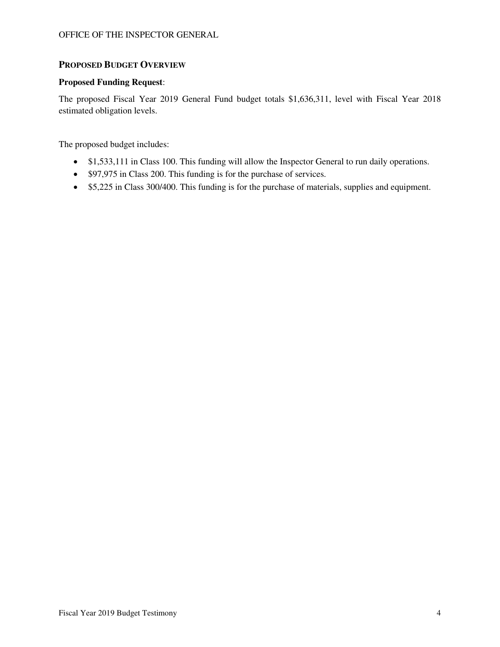## **PROPOSED BUDGET OVERVIEW**

### **Proposed Funding Request**:

The proposed Fiscal Year 2019 General Fund budget totals \$1,636,311, level with Fiscal Year 2018 estimated obligation levels.

The proposed budget includes:

- \$1,533,111 in Class 100. This funding will allow the Inspector General to run daily operations.
- \$97,975 in Class 200. This funding is for the purchase of services.
- \$5,225 in Class 300/400. This funding is for the purchase of materials, supplies and equipment.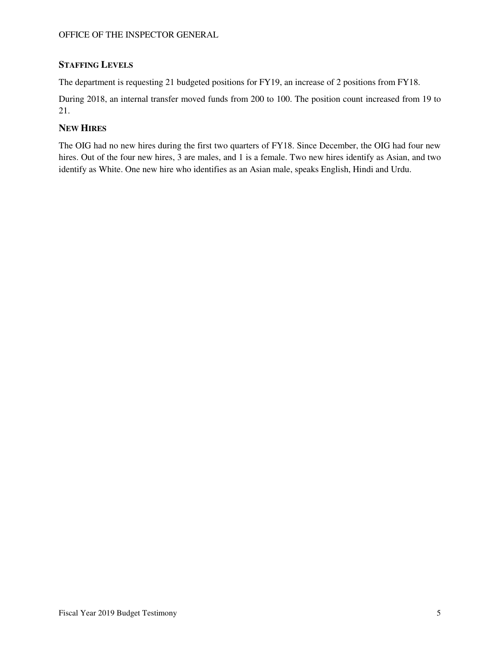## **STAFFING LEVELS**

The department is requesting 21 budgeted positions for FY19, an increase of 2 positions from FY18.

During 2018, an internal transfer moved funds from 200 to 100. The position count increased from 19 to 21.

## **NEW HIRES**

The OIG had no new hires during the first two quarters of FY18. Since December, the OIG had four new hires. Out of the four new hires, 3 are males, and 1 is a female. Two new hires identify as Asian, and two identify as White. One new hire who identifies as an Asian male, speaks English, Hindi and Urdu.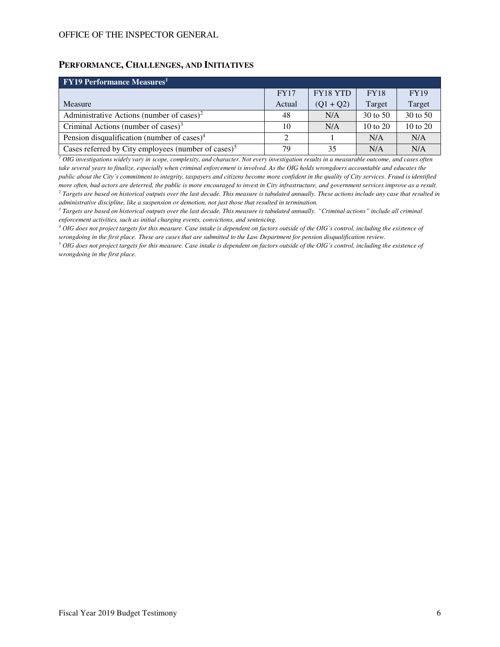## **PERFORMANCE, CHALLENGES, AND INITIATIVES**

| <b>FY19 Performance Measures</b> <sup>1</sup>                   |             |             |                     |             |  |  |  |  |  |
|-----------------------------------------------------------------|-------------|-------------|---------------------|-------------|--|--|--|--|--|
|                                                                 | <b>FY17</b> | FY18 YTD    | <b>FY18</b>         | <b>FY19</b> |  |  |  |  |  |
| Measure                                                         | Actual      | $(Q1 + Q2)$ | Target              | Target      |  |  |  |  |  |
| Administrative Actions (number of cases) <sup>2</sup>           | 48          | N/A         | 30 to 50            | 30 to 50    |  |  |  |  |  |
| Criminal Actions (number of cases) <sup>3</sup>                 | 10          | N/A         | $10 \text{ to } 20$ | 10 to 20    |  |  |  |  |  |
| Pension disqualification (number of cases) <sup>4</sup>         | 2           |             | N/A                 | N/A         |  |  |  |  |  |
| Cases referred by City employees (number of cases) <sup>5</sup> | 79          | 35          | N/A                 | N/A         |  |  |  |  |  |

*1 OIG investigations widely vary in scope, complexity, and character. Not every investigation results in a measurable outcome, and cases often take several years to finalize, especially when criminal enforcement is involved. As the OIG holds wrongdoers accountable and educates the public about the City's commitment to integrity, taxpayers and citizens become more confident in the quality of City services. Fraud is identified more often, bad actors are deterred, the public is more encouraged to invest in City infrastructure, and government services improve as a result. 2 Targets are based on historical outputs over the last decade. This measure is tabulated annually. These actions include any case that resulted in administrative discipline, like a suspension or demotion, not just those that resulted in termination.* 

<sup>3</sup> Targets are based on historical outputs over the last decade. This measure is tabulated annually. "Criminal actions" include all criminal *enforcement activities, such as initial charging events, convictions, and sentencing.* 

*<sup>4</sup> OIG does not project targets for this measure. Case intake is dependent on factors outside of the OIG's control, including the existence of wrongdoing in the first place. These are cases that are submitted to the Law Department for pension disqualification review.* 

<sup>5</sup> OIG does not project targets for this measure. Case intake is dependent on factors outside of the OIG's control, including the existence of *wrongdoing in the first place.*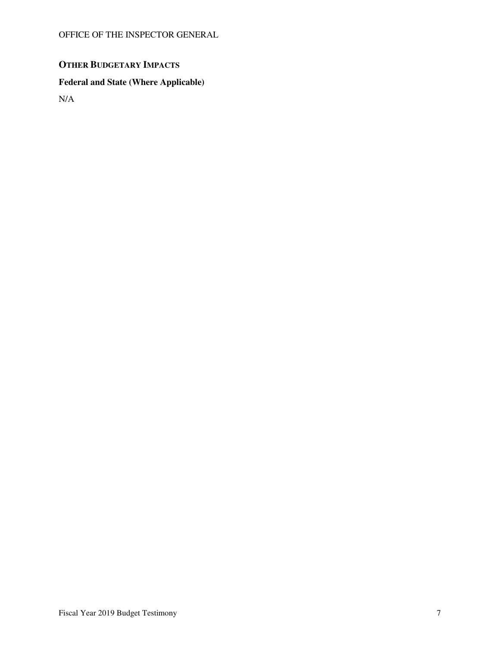# **OTHER BUDGETARY IMPACTS**

# **Federal and State (Where Applicable)**

N/A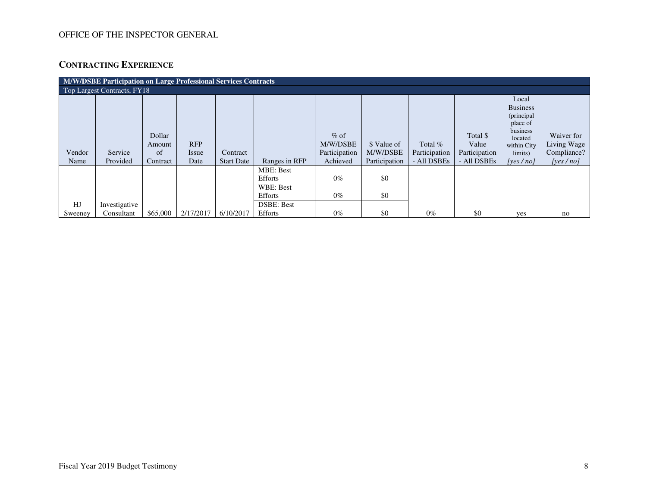# **CONTRACTING EXPERIENCE**

| M/W/DSBE Participation on Large Professional Services Contracts |                     |                                    |                             |                        |                                                                                 |                                                  |                                          |                                           |                                                   |                                                                                                                     |                                                          |
|-----------------------------------------------------------------|---------------------|------------------------------------|-----------------------------|------------------------|---------------------------------------------------------------------------------|--------------------------------------------------|------------------------------------------|-------------------------------------------|---------------------------------------------------|---------------------------------------------------------------------------------------------------------------------|----------------------------------------------------------|
| Top Largest Contracts, FY18                                     |                     |                                    |                             |                        |                                                                                 |                                                  |                                          |                                           |                                                   |                                                                                                                     |                                                          |
| Vendor<br>Name                                                  | Service<br>Provided | Dollar<br>Amount<br>of<br>Contract | <b>RFP</b><br>Issue<br>Date | Contract<br>Start Date | Ranges in RFP                                                                   | $\%$ of<br>M/W/DSBE<br>Participation<br>Achieved | \$ Value of<br>M/W/DSBE<br>Participation | Total $%$<br>Participation<br>- All DSBEs | Total \$<br>Value<br>Participation<br>- All DSBEs | Local<br><b>Business</b><br>(principal<br>place of<br>business<br>located<br>within City<br>limits)<br>[yes $/$ no] | Waiver for<br>Living Wage<br>Compliance?<br>[yes $/no$ ] |
| HJ                                                              | Investigative       |                                    |                             |                        | <b>MBE: Best</b><br><b>Efforts</b><br>WBE: Best<br>Efforts<br><b>DSBE: Best</b> | $0\%$<br>$0\%$                                   | \$0<br>\$0                               |                                           |                                                   |                                                                                                                     |                                                          |
| Sweeney                                                         | Consultant          | \$65,000                           | 2/17/2017                   | 6/10/2017              | Efforts                                                                         | $0\%$                                            | \$0                                      | $0\%$                                     | \$0                                               | yes                                                                                                                 | no                                                       |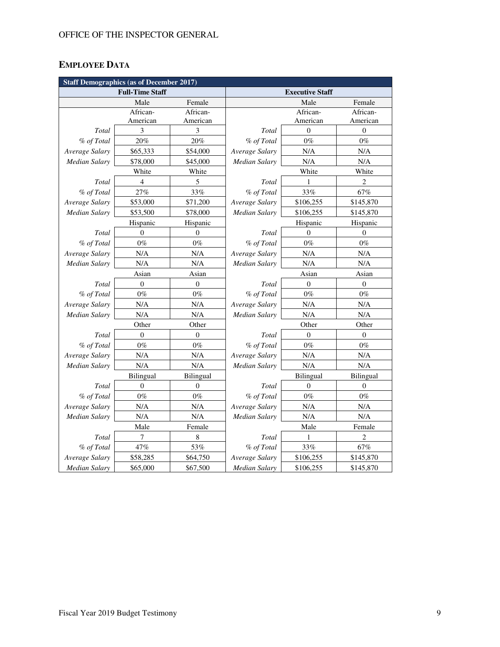# **EMPLOYEE DATA**

| <b>Staff Demographics (as of December 2017)</b> |                        |                  |                        |                  |                  |  |  |  |  |
|-------------------------------------------------|------------------------|------------------|------------------------|------------------|------------------|--|--|--|--|
|                                                 | <b>Full-Time Staff</b> |                  | <b>Executive Staff</b> |                  |                  |  |  |  |  |
|                                                 | Male                   | Female           |                        | Male             | Female           |  |  |  |  |
|                                                 | African-               | African-         |                        | African-         | African-         |  |  |  |  |
|                                                 | American               | American         |                        | American         | American         |  |  |  |  |
| Total                                           | 3                      | 3                | Total                  | $\theta$         | $\mathbf{0}$     |  |  |  |  |
| % of Total                                      | 20%                    | 20%              | % of Total             | $0\%$            | $0\%$            |  |  |  |  |
| Average Salary                                  | \$65,333               | \$54,000         | Average Salary         | N/A              | N/A              |  |  |  |  |
| Median Salary                                   | \$78,000               | \$45,000         | Median Salary          | N/A              | $\rm N/A$        |  |  |  |  |
|                                                 | White                  | White            |                        | White            | White            |  |  |  |  |
| Total                                           | 4                      | 5                | Total                  | 1                | $\overline{c}$   |  |  |  |  |
| % of Total                                      | 27%                    | 33%              | % of Total             | 33%              | 67%              |  |  |  |  |
| Average Salary                                  | \$53,000               | \$71,200         | Average Salary         | \$106,255        | \$145,870        |  |  |  |  |
| <b>Median Salary</b>                            | \$53,500               | \$78,000         | Median Salary          | \$106,255        | \$145,870        |  |  |  |  |
|                                                 | Hispanic               | Hispanic         |                        | Hispanic         | Hispanic         |  |  |  |  |
| Total                                           | $\mathbf{0}$           | $\mathbf{0}$     | Total                  | $\mathbf{0}$     | $\mathbf{0}$     |  |  |  |  |
| % of Total                                      | $0\%$                  | $0\%$            | % of Total             | $0\%$            | $0\%$            |  |  |  |  |
| Average Salary                                  | N/A                    | N/A              | Average Salary         | N/A              | N/A              |  |  |  |  |
| <b>Median Salary</b>                            | N/A                    | N/A              | <b>Median Salary</b>   | N/A              | $\rm N/A$        |  |  |  |  |
|                                                 | Asian                  | Asian            | Asian                  |                  | Asian            |  |  |  |  |
| Total                                           | $\boldsymbol{0}$       | $\boldsymbol{0}$ | Total                  | $\boldsymbol{0}$ | $\boldsymbol{0}$ |  |  |  |  |
| % of Total                                      | $0\%$                  | $0\%$            | % of Total             | $0\%$            | $0\%$            |  |  |  |  |
| Average Salary                                  | $\rm N/A$              | N/A              | Average Salary         | N/A              | $\rm N/A$        |  |  |  |  |
| <b>Median Salary</b>                            | N/A                    | N/A              | <b>Median Salary</b>   | N/A              | N/A              |  |  |  |  |
|                                                 | Other                  | Other            | Other<br>Other         |                  |                  |  |  |  |  |
| Total                                           | $\overline{0}$         | $\mathbf{0}$     | Total                  | $\theta$         | $\mathbf{0}$     |  |  |  |  |
| % of Total                                      | $0\%$                  | $0\%$            | % of Total             | $0\%$            | $0\%$            |  |  |  |  |
| Average Salary                                  | $\rm N/A$              | N/A              | Average Salary         | N/A              | N/A              |  |  |  |  |
| Median Salary                                   | N/A                    | N/A              | Median Salary          | N/A              | N/A              |  |  |  |  |
|                                                 | Bilingual              | Bilingual        | Bilingual              |                  | Bilingual        |  |  |  |  |
| Total                                           | $\overline{0}$         | $\theta$         | Total                  | $\overline{0}$   | $\theta$         |  |  |  |  |
| % of Total                                      | $0\%$                  | $0\%$            | % of Total             | $0\%$            | $0\%$            |  |  |  |  |
| Average Salary                                  | N/A                    | N/A              | Average Salary         | N/A              | $\rm N/A$        |  |  |  |  |
| <b>Median Salary</b>                            | N/A                    | N/A              | Median Salary          | N/A              | N/A              |  |  |  |  |
|                                                 | Male                   | Female           |                        | Male             | Female           |  |  |  |  |
| Total                                           | 7                      | $\,$ 8 $\,$      | Total                  | 1                | $\overline{c}$   |  |  |  |  |
| % of Total                                      | 47%                    | 53%              | % of Total             | 33%              | 67%              |  |  |  |  |
| Average Salary                                  | \$58,285               | \$64,750         | Average Salary         | \$106,255        | \$145,870        |  |  |  |  |
| <b>Median Salary</b>                            | \$65,000               | \$67,500         | <b>Median Salary</b>   | \$106,255        | \$145,870        |  |  |  |  |